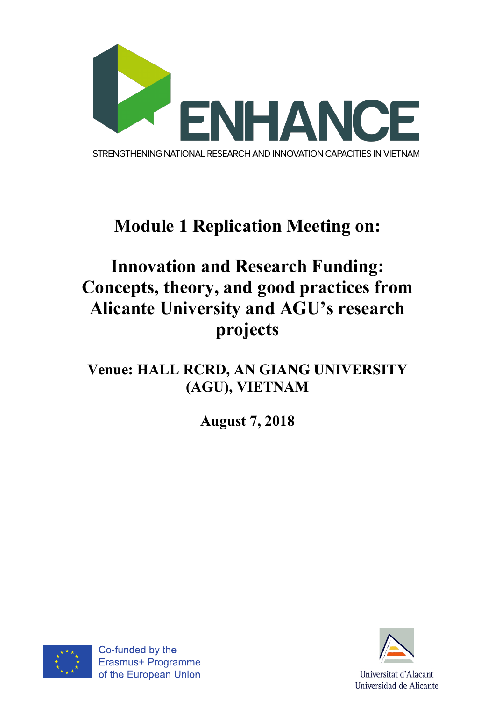

# **Module 1 Replication Meeting on:**

## **Innovation and Research Funding: Concepts, theory, and good practices from Alicante University and AGU's research projects**

### **Venue: HALL RCRD, AN GIANG UNIVERSITY (AGU), VIETNAM**

**August 7, 2018**



Co-funded by the Erasmus+ Programme of the European Union

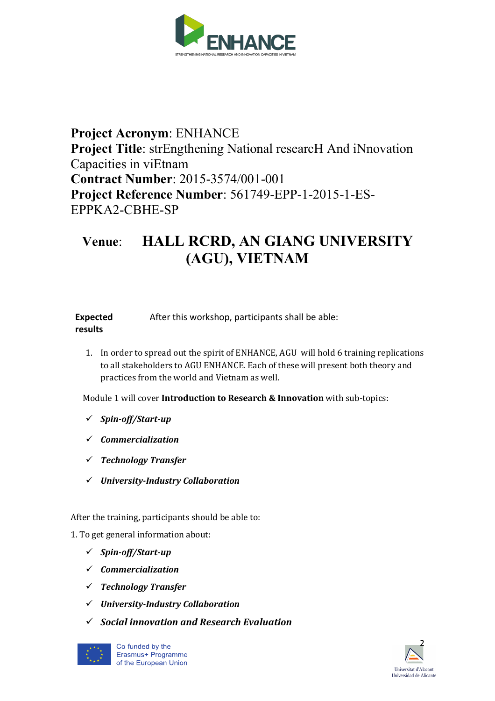

#### **Project Acronym**: ENHANCE **Project Title:** strEngthening National researcH And iNnovation Capacities in viEtnam **Contract Number**: 2015-3574/001-001 **Project Reference Number**: 561749-EPP-1-2015-1-ES-EPPKA2-CBHE-SP

### **Venue**: **HALL RCRD, AN GIANG UNIVERSITY (AGU), VIETNAM**

| <b>Expected</b> | After this workshop, participants shall be able: |
|-----------------|--------------------------------------------------|
| results         |                                                  |

1. In order to spread out the spirit of ENHANCE, AGU will hold 6 training replications to all stakeholders to AGU ENHANCE. Each of these will present both theory and practices from the world and Vietnam as well.

Module 1 will cover Introduction to Research & Innovation with sub-topics:

- ü *Spin-off/Start-up*
- ü *Commercialization*
- ü *Technology Transfer*
- ü *University-Industry Collaboration*

After the training, participants should be able to:

1. To get general information about:

- ü *Spin-off/Start-up*
- ü *Commercialization*
- ü *Technology Transfer*
- ü *University-Industry Collaboration*
- ü *Social innovation and Research Evaluation*